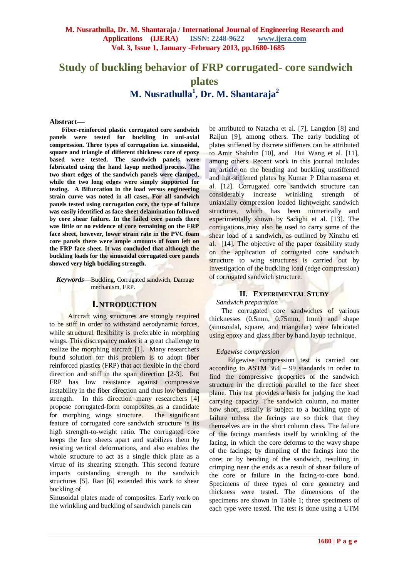# **Study of buckling behavior of FRP corrugated- core sandwich plates M. Nusrathulla<sup>1</sup> , Dr. M. Shantaraja<sup>2</sup>**

#### **Abstract—**

**Fiber-reinforced plastic corrugated core sandwich panels were tested for buckling in uni-axial compression. Three types of corrugation i.e. sinusoidal, square and triangle of different thickness core of epoxy based were tested. The sandwich panels were fabricated using the hand layup method process. The two short edges of the sandwich panels were clamped, while the two long edges were simply supported for testing. A Bifurcation in the load versus engineering strain curve was noted in all cases. For all sandwich panels tested using corrugation core, the type of failure was easily identified as face sheet delamination followed by core shear failure. In the failed core panels there was little or no evidence of core remaining on the FRP face sheet, however, lower strain rate in the PVC foam core panels there were ample amounts of foam left on the FRP face sheet. It was concluded that although the buckling loads for the sinusoidal corrugated core panels showed very high buckling strength.**

*Keywords***—**Buckling, Corrugated sandwich, Damage mechanism, FRP.

### **I.NTRODUCTION**

Aircraft wing structures are strongly required to be stiff in order to withstand aerodynamic forces, while structural flexibility is preferable in morphing wings. This discrepancy makes it a great challenge to realize the morphing aircraft [1]. Many researchers found solution for this problem is to adopt fiber reinforced plastics (FRP) that act flexible in the chord direction and stiff in the span direction [2-3]. But FRP has low resistance against compressive instability in the fiber direction and thus low bending strength. In this direction many researchers [4] propose corrugated-form composites as a candidate for morphing wings structure. The significant feature of corrugated core sandwich structure is its high strength-to-weight ratio. The corrugated core keeps the face sheets apart and stabilizes them by resisting vertical deformations, and also enables the whole structure to act as a single thick plate as a virtue of its shearing strength. This second feature imparts outstanding strength to the sandwich structures [5]. Rao [6] extended this work to shear buckling of

Sinusoidal plates made of composites. Early work on the wrinkling and buckling of sandwich panels can

be attributed to Natacha et al. [7], Langdon [8] and Raijun [9], among others. The early buckling of plates stiffened by discrete stiffeners can be attributed to Amir Shahdin [10], and Hui Wang et al. [11], among others. Recent work in this journal includes an article on the bending and buckling unstiffened and hat-stiffened plates by Kumar P Dharmasena et al. [12]. Corrugated core sandwich structure can considerably increase wrinkling strength of uniaxially compression loaded lightweight sandwich structures, which has been numerically and experimentally shown by Sadighi et al. [13]. The corrugations may also be used to carry some of the shear load of a sandwich, as outlined by Xinzhu etl al. [14]. The objective of the paper feasibility study on the application of corrugated core sandwich structure to wing structures is carried out by investigation of the buckling load (edge compression) of corrugated sandwich structure.

### **II. EXPERIMENTAL STUDY**

### *Sandwich preparation*

The corrugated core sandwiches of various thicknesses (0.5mm, 0.75mm, 1mm) and shape (sinusoidal, square, and triangular) were fabricated using epoxy and glass fiber by hand layup technique.

### *Edgewise compression*

Edgewise compression test is carried out according to ASTM 364 – 99 standards in order to find the compressive properties of the sandwich structure in the direction parallel to the face sheet plane. This test provides a basis for judging the load carrying capacity. The sandwich column, no matter how short, usually is subject to a buckling type of failure unless the facings are so thick that they themselves are in the short column class. The failure of the facings manifests itself by wrinkling of the facing, in which the core deforms to the wavy shape of the facings; by dimpling of the facings into the core; or by bending of the sandwich, resulting in crimping near the ends as a result of shear failure of the core or failure in the facing-to-core bond. Specimens of three types of core geometry and thickness were tested. The dimensions of the specimens are shown in Table 1; three specimens of each type were tested. The test is done using a UTM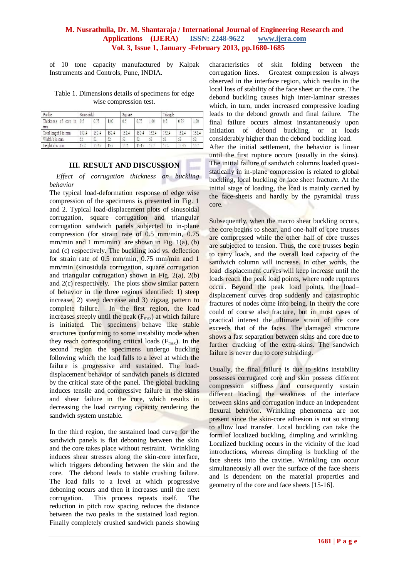of 10 tone capacity manufactured by Kalpak Instruments and Controls, Pune, INDIA.

Table 1. Dimensions details of specimens for edge wise compression test.

| Profile                       | Sinusoidal |       |       | Square |       |       | Triangle |       |       |
|-------------------------------|------------|-------|-------|--------|-------|-------|----------|-------|-------|
| Thickness<br>of core in<br>mm | 10.5       | 0.75  | 1.00  | 0.5    | 0.75  | 1.00  | 0.5      | 0.75  | 1.00  |
| Total length 1 in mm          | 152.4      | 152.4 | 152.4 | 152.4  | 152.4 | 152.4 | 152.4    | 152.4 | 152.4 |
| Width b in mm                 | 52         | 52    | 52    | 52     | 52    | 52    | 52       | 52    | 52    |
| Height d in mm                | 15.2       | 15.45 | 15.7  | 15.2   | 15.45 | 15'   | 15.2     | 15.43 | 15.7  |

### **III. RESULT AND DISCUSSION**

*Effect of corrugation thickness on buckling behavior* 

The typical load-deformation response of edge wise compression of the specimens is presented in Fig. 1 and 2. Typical load-displacement plots of sinusoidal corrugation, square corrugation and triangular corrugation sandwich panels subjected to in-plane compression (for strain rate of 0.5 mm/min, 0.75 mm/min and 1 mm/min) are shown in Fig.  $1(a)$ , (b) and (c) respectively. The buckling load vs. deflection for strain rate of 0.5 mm/min, 0.75 mm/min and 1 mm/min (sinosidula corrugation, square corrugation and triangular corrugation) shown in Fig.  $2(a)$ ,  $2(b)$ and 2(c) respectively. The plots show similar pattern of behavior in the three regions identified: 1) steep increase, 2) steep decrease and 3) zigzag pattern to complete failure. In the first region, the load increases steeply until the peak  $(F<sub>max</sub>)$  at which failure is initiated. The specimens behave like stable structures conforming to some instability mode when they reach corresponding critical loads  $(F_{\text{max}})$ . In the second region the specimens undergo buckling following which the load falls to a level at which the failure is progressive and sustained. The loaddisplacement behavior of sandwich panels is dictated by the critical state of the panel. The global buckling induces tensile and compressive failure in the skins and shear failure in the core, which results in decreasing the load carrying capacity rendering the sandwich system unstable.

In the third region, the sustained load curve for the sandwich panels is flat deboning between the skin and the core takes place without restraint. Wrinkling induces shear stresses along the skin-core interface, which triggers debonding between the skin and the core. The debond leads to stable crushing failure. The load falls to a level at which progressive deboning occurs and then it increases until the next corrugation. This process repeats itself. The reduction in pitch row spacing reduces the distance between the two peaks in the sustained load region. Finally completely crushed sandwich panels showing characteristics of skin folding between the corrugation lines. Greatest compression is always observed in the interface region, which results in the local loss of stability of the face sheet or the core. The debond buckling causes high inter-laminar stresses which, in turn, under increased compressive loading leads to the debond growth and final failure. The final failure occurs almost instantaneously upon initiation of debond buckling, or at loads considerably higher than the debond buckling load. After the initial settlement, the behavior is linear until the first rupture occurs (usually in the skins). The initial failure of sandwich columns loaded quasistatically in in-plane compression is related to global buckling, local buckling or face sheet fracture. At the initial stage of loading, the load is mainly carried by the face-sheets and hardly by the pyramidal truss core.

Subsequently, when the macro shear buckling occurs, the core begins to shear, and one-half of core trusses are compressed while the other half of core trusses are subjected to tension. Thus, the core trusses begin to carry loads, and the overall load capacity of the sandwich column will increase. In other words, the load–displacement curves will keep increase until the loads reach the peak load points, where node ruptures occur. Beyond the peak load points, the load– displacement curves drop suddenly and catastrophic fractures of nodes come into being. In theory the core could of course also fracture, but in most cases of practical interest the ultimate strain of the core exceeds that of the faces. The damaged structure shows a fast separation between skins and core due to further cracking of the extra-skins. The sandwich failure is never due to core subsiding.

Usually, the final failure is due to skins instability possesses corrugated core and skin possess different compression stiffness and consequently sustain different loading, the weakness of the interface between skins and corrugation induce an independent flexural behavior. Wrinkling phenomena are not present since the skin-core adhesion is not so strong to allow load transfer. Local buckling can take the form of localized buckling, dimpling and wrinkling. Localized buckling occurs in the vicinity of the load introductions, whereas dimpling is buckling of the face sheets into the cavities. Wrinkling can occur simultaneously all over the surface of the face sheets and is dependent on the material properties and geometry of the core and face sheets [15-16].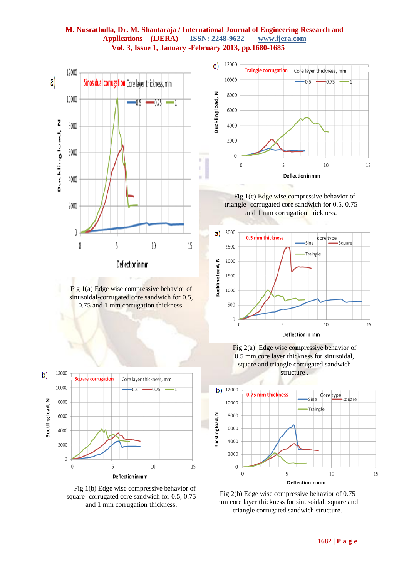

Fig 1(a) Edge wise compressive behavior of sinusoidal-corrugated core sandwich for 0.5, 0.75 and 1 mm corrugation thickness.



Fig 1(b) Edge wise compressive behavior of square -corrugated core sandwich for 0.5, 0.75 and 1 mm corrugation thickness.







Fig 2(a) Edge wise co**m**pressive behavior of 0.5 mm core layer thickness for sinusoidal, square and triangle corrugated sandwich structure .



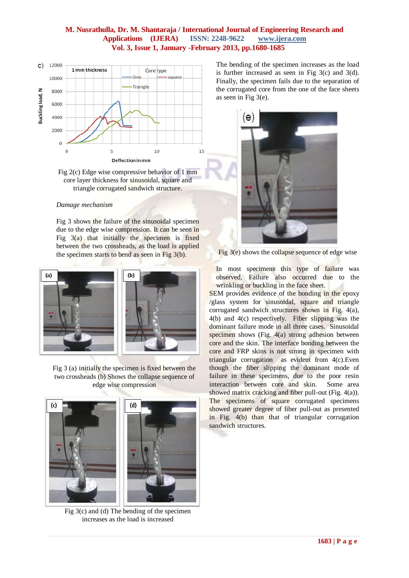



### *Damage mechanism*

Fig 3 shows the failure of the sinusoidal specimen due to the edge wise compression. It can be seen in Fig  $3(a)$  that initially the specimen is fixed between the two crossheads, as the load is applied the specimen starts to bend as seen in Fig 3(b).



Fig 3 (a) initially the specimen is fixed between the two crossheads (b) Shows the collapse sequence of edge wise compression



Fig 3(c) and (d) The bending of the specimen increases as the load is increased

The bending of the specimen increases as the load is further increased as seen in Fig  $3(c)$  and  $3(d)$ . Finally, the specimen fails due to the separation of the corrugated core from the one of the face sheets as seen in Fig 3(e).



Fig 3(e) shows the collapse sequence of edge wise

In most specimens this type of failure was observed, Failure also occurred due to the wrinkling or buckling in the face sheet.

SEM provides evidence of the bonding in the epoxy /glass system for sinusoidal, square and triangle corrugated sandwich structures shown in Fig. 4(a), 4(b) and 4(c) respectively. Fiber slipping was the dominant failure mode in all three cases. Sinusoidal specimen shows (Fig. 4(a) strong adhesion between core and the skin. The interface bonding between the core and FRP skins is not strong in specimen with triangular corrugation as evident from 4(c).Even though the fiber slipping the dominant mode of failure in these specimens, due to the poor resin interaction between core and skin. Some area showed matrix cracking and fiber pull-out (Fig. 4(a)). The specimens of square corrugated specimens showed greater degree of fiber pull-out as presented in Fig. 4(b) than that of triangular corrugation sandwich structures.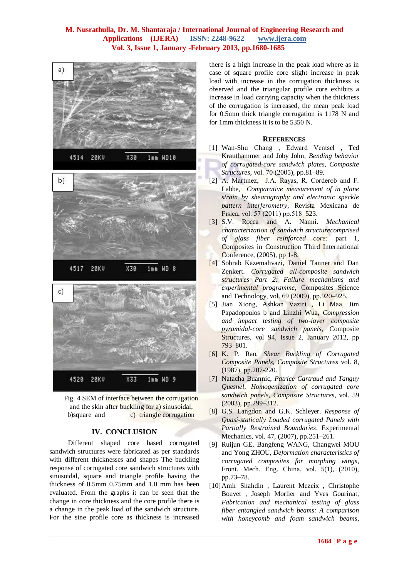



### **IV. CONCLUSION**

Different shaped core based corrugated sandwich structures were fabricated as per standards with different thicknesses and shapes The buckling response of corrugated core sandwich structures with sinusoidal, square and triangle profile having the thickness of 0.5mm 0.75mm and 1.0 mm has been evaluated. From the graphs it can be seen that the change in core thickness and the core profile th**e**re is a change in the peak load of the sandwich structure. For the sine profile core as thickness is increased

there is a high increase in the peak load where as in case of square profile core slight increase in peak load with increase in the corrugation thickness is observed and the triangular profile core exhibits a increase in load carrying capacity when the thickness of the corrugation is increased, the mean peak load for 0.5mm thick triangle corrugation is 1178 N and for 1mm thickness it is to be 5350 N.

#### **REFERENCES**

- [1] Wan-Shu Chang , Edward Ventsel , Ted Krauthammer and Joby John, *Bending behavior of corrugated-core sandwich plates, Composite Structures*, vol. 70 (2005), pp.81–89.
- [2] A. Martınez, J.A. Rayas, R. Corderob and F. Labbe, *Comparative measurement of in plane strain by shearography and electronic speckle pattern interferometry*, Revista Mexicana de Fısica, vol. 57 (2011) pp.518–523.
- [3] S.V. Rocca and A. Nanni. *Mechanical characterization of sandwich structurecomprised of glass fiber reinforced core:* part 1, Composites in Construction Third International Conference, (2005), pp 1-8.
- [4] Sohrab Kazemahvazi, Daniel Tanner and Dan Zenkert. *Corrugated all-composite sandwich structures Part 2: Failure mechanisms and experimental programme*, Composites Science and Technology, vol. 69 (2009), pp.920–925.
- [5] Jian Xiong, Ashkan Vaziri , Li Maa, Jim Papadopoulos b and Linzhi Wua, *Compression and impact testing of two-layer composite pyramidal-core sandwich panels*, Composite Structures, vol 94, Issue 2, January 2012, pp 793–801.
- [6] K. P. Rao, *Shear Buckling of Corrugated Composite Panels, Composite Structures* vol. 8, (1987), pp.207-220.
- [7] Natacha Buannic, *Patrice Cartraud and Tanguy Quesnel, Homogenization of corrugated core sandwich panels, Composite Structures*, vol. 59 (2003), pp.299–312.
- [8] G.S. Langdon and G.K. Schleyer. *Response of Quasi-statically Loaded corrugated Panels with Partially Restrained Boundaries*. Experimental Mechanics, vol. 47, (2007), pp.251–261.
- [9] Ruijun GE, Bangfeng WANG, Changwei MOU and Yong ZHOU, *Deformation characteristics of corrugated composites for morphing wings*, Front. Mech. Eng. China, vol. 5(1), (2010), pp.73–78.
- [10]Amir Shahdin , Laurent Mezeix , Christophe Bouvet , Joseph Morlier and Yves Gourinat, *Fabrication and mechanical testing of glass fiber entangled sandwich beams: A comparison with honeycomb and foam sandwich beams*,